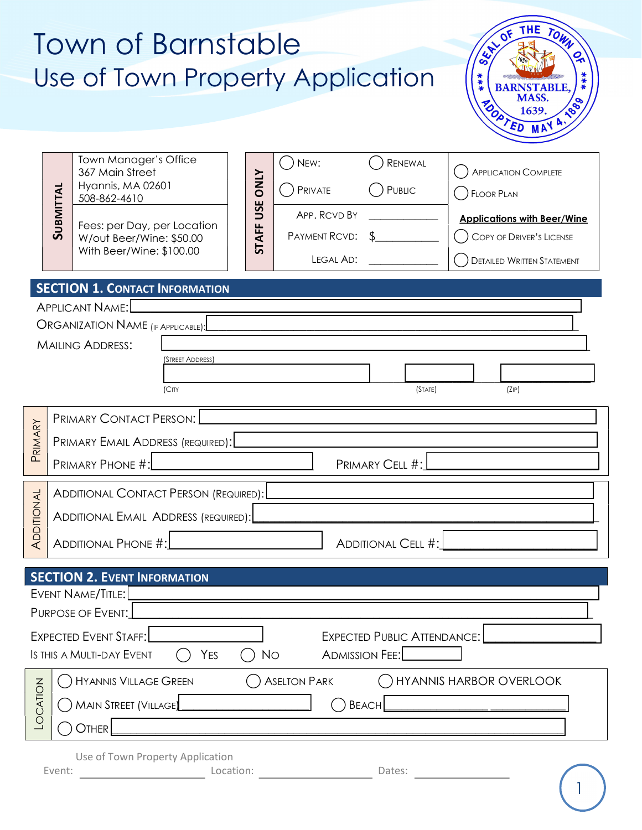|                 | Town of Barnstable<br>Use of Town Property Application                                                                                                                                                                            |                                    |                                                               |                                                      | <b>THE</b><br>TOWN<br>$\mathbf{z}$<br>$\mathbf{Q}_{\mathbf{A}}$<br><b>G</b><br>***<br><b>BARNSTABLE.</b><br>MASS.<br>1880<br>TOD 1637.           |
|-----------------|-----------------------------------------------------------------------------------------------------------------------------------------------------------------------------------------------------------------------------------|------------------------------------|---------------------------------------------------------------|------------------------------------------------------|--------------------------------------------------------------------------------------------------------------------------------------------------|
|                 | Town Manager's Office<br>367 Main Street<br>Hyannis, MA 02601<br><b>SUBMITTAL</b><br>508-862-4610<br>Fees: per Day, per Location<br>W/out Beer/Wine: \$50.00<br>With Beer/Wine: \$100.00<br><b>SECTION 1. CONTACT INFORMATION</b> | <b>NINO</b><br>USE<br><b>STAFF</b> | NEW:<br>PRIVATE<br>APP. RCVD BY<br>PAYMENT RCVD:<br>LEGAL AD: | RENEWAL<br>PUBLIC                                    | <b>APPLICATION COMPLETE</b><br>FLOOR PLAN<br><b>Applications with Beer/Wine</b><br>COPY OF DRIVER'S LICENSE<br><b>DETAILED WRITTEN STATEMENT</b> |
|                 | <b>APPLICANT NAME:</b>                                                                                                                                                                                                            |                                    |                                                               |                                                      |                                                                                                                                                  |
|                 | ORGANIZATION NAME (IF APPLICABLE):                                                                                                                                                                                                |                                    |                                                               |                                                      |                                                                                                                                                  |
|                 | <b>MAILING ADDRESS:</b><br>(STREET ADDRESS)<br>(CITY                                                                                                                                                                              |                                    |                                                               | (STATE)                                              | (ZIP)                                                                                                                                            |
| PRIMARY         | PRIMARY CONTACT PERSON:<br>PRIMARY EMAIL ADDRESS (REQUIRED):<br><b>PRIMARY PHONE #:</b>                                                                                                                                           |                                    |                                                               | PRIMARY CELL #:                                      |                                                                                                                                                  |
| ADDITIONAL      | ADDITIONAL CONTACT PERSON (REQUIRED): $\lfloor$<br>ADDITIONAL EMAIL ADDRESS (REQUIRED):<br>ADDITIONAL PHONE #:                                                                                                                    |                                    |                                                               | ADDITIONAL CELL #:                                   |                                                                                                                                                  |
|                 | <b>SECTION 2. EVENT INFORMATION</b>                                                                                                                                                                                               |                                    |                                                               |                                                      |                                                                                                                                                  |
|                 | EVENT NAME/TITLE:<br>PURPOSE OF EVENT:<br><b>EXPECTED EVENT STAFF:</b><br>IS THIS A MULTI-DAY EVENT<br>YES                                                                                                                        | <b>No</b>                          |                                                               | EXPECTED PUBLIC ATTENDANCE:<br><b>ADMISSION FEE:</b> |                                                                                                                                                  |
| <b>LOCATION</b> | ( ) Hyannis Village Green<br>WAIN STREET (VILLAGE)<br>OTHER                                                                                                                                                                       |                                    | $()$ Beach                                                    |                                                      | (a) ASELTON PARK (b) HYANNIS HARBOR OVERLOOK                                                                                                     |
|                 | Use of Town Property Application<br>Event:                                                                                                                                                                                        |                                    |                                                               |                                                      |                                                                                                                                                  |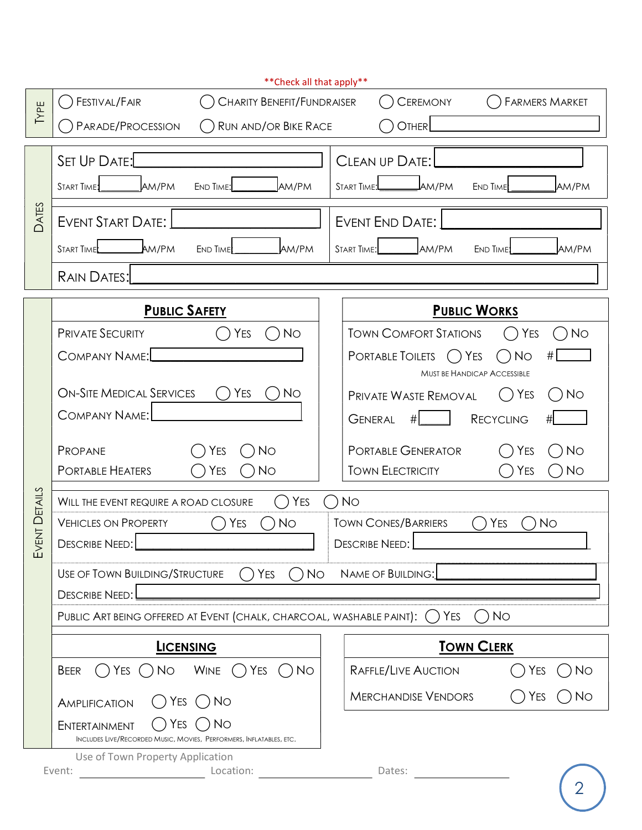|              | ** Check all that apply**                                                                         |                                                                                           |  |  |
|--------------|---------------------------------------------------------------------------------------------------|-------------------------------------------------------------------------------------------|--|--|
| TYPE         | FESTIVAL/FAIR<br><b>CHARITY BENEFIT/FUNDRAISER</b>                                                | <b>CEREMONY</b><br><b>FARMERS MARKET</b>                                                  |  |  |
|              | PARADE/PROCESSION<br><b>RUN AND/OR BIKE RACE</b>                                                  | OTHER                                                                                     |  |  |
|              | SET UP DATE:                                                                                      | CLEAN UP DATE:                                                                            |  |  |
|              | <b>JAM/PM</b><br><b>START TIME:</b><br>AM/PM<br><b>END TIME:</b>                                  | <b>J</b> am/pm<br>AM/PM<br>START TIME:<br><b>END TIME</b>                                 |  |  |
| <b>DATES</b> | <b>EVENT START DATE:</b>                                                                          | EVENT END DATE:                                                                           |  |  |
|              | AM/PM<br>START TIME<br>END TIME<br>AM/PM                                                          | AM/PM<br>AM/PM<br><b>START TIME:</b><br><b>END TIME!</b>                                  |  |  |
|              | <b>RAIN DATES:</b>                                                                                |                                                                                           |  |  |
|              | <b>PUBLIC SAFETY</b>                                                                              | <b>PUBLIC WORKS</b>                                                                       |  |  |
|              | <b>YES</b><br><b>PRIVATE SECURITY</b><br>No                                                       | <b>TOWN COMFORT STATIONS</b><br>YES<br>$\bigcirc$ No                                      |  |  |
|              | <b>COMPANY NAME:</b>                                                                              | <b>PORTABLE TOILETS</b><br>$( )$ Yes<br>No<br>#<br><b>MUST BE HANDICAP ACCESSIBLE</b>     |  |  |
|              | <b>ON-SITE MEDICAL SERVICES</b><br>YES<br>N <sub>O</sub>                                          | <b>No</b><br><b>PRIVATE WASTE REMOVAL</b><br>YES<br>$\begin{pmatrix} 1 & 1 \end{pmatrix}$ |  |  |
|              | <b>COMPANY NAME:</b>                                                                              | <b>GENERAL</b><br><b>RECYCLING</b><br>#                                                   |  |  |
|              | <b>No</b><br><b>YES</b><br>PROPANE                                                                | <b>No</b><br>PORTABLE GENERATOR<br>YES                                                    |  |  |
|              | <b>PORTABLE HEATERS</b><br><b>No</b><br>YES                                                       | <b>TOWN ELECTRICITY</b><br><b>No</b><br>YES                                               |  |  |
| ENT DETAILS  | <b>No</b><br>YES<br>WILL THE EVENT REQUIRE A ROAD CLOSURE                                         |                                                                                           |  |  |
|              | <b>No</b><br><b>VEHICLES ON PROPERTY</b><br>YES                                                   | <b>TOWN CONES/BARRIERS</b><br>YES<br><b>No</b>                                            |  |  |
| $\gtrsim$    | <b>DESCRIBE NEED:</b>                                                                             | <b>DESCRIBE NEED:</b>                                                                     |  |  |
|              | $\bigcap$ Yes<br>No<br>USE OF TOWN BUILDING/STRUCTURE<br>NAME OF BUILDING:                        |                                                                                           |  |  |
|              | <b>DESCRIBE NEED:</b>                                                                             |                                                                                           |  |  |
|              | PUBLIC ART BEING OFFERED AT EVENT (CHALK, CHARCOAL, WASHABLE PAINT): (                            | YES<br>()No                                                                               |  |  |
|              | <b>LICENSING</b>                                                                                  | <b>TOWN CLERK</b>                                                                         |  |  |
|              | $()$ Yes $()$ No Wine $()$ Yes $()$ No<br>BEER                                                    | RAFFLE/LIVE AUCTION<br>YES<br>N <sub>O</sub>                                              |  |  |
|              | $( )$ No<br>YES<br>AMPLIFICATION                                                                  | <b>MERCHANDISE VENDORS</b><br><b>No</b><br>YES                                            |  |  |
|              | Yes<br>No<br>ENTERTAINMENT<br>INCLUDES LIVE/RECORDED MUSIC, MOVIES, PERFORMERS, INFLATABLES, ETC. |                                                                                           |  |  |
|              | Use of Town Property Application                                                                  |                                                                                           |  |  |
|              | Event:                                                                                            |                                                                                           |  |  |
|              |                                                                                                   |                                                                                           |  |  |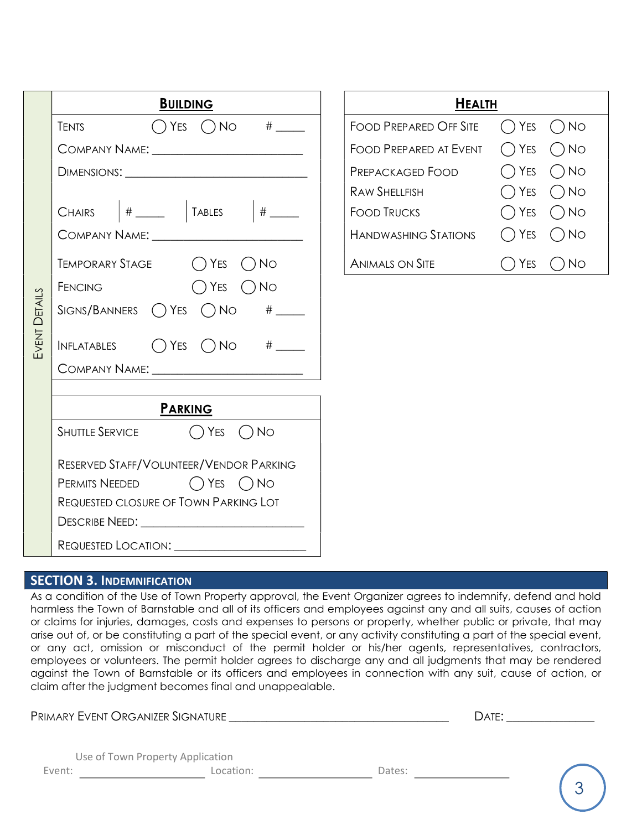|                      | <b>BUILDING</b>                                      | <b>HEALTH</b>                 |                                |
|----------------------|------------------------------------------------------|-------------------------------|--------------------------------|
|                      | <b>TENTS</b>                                         | <b>FOOD PREPARED OFF SITE</b> | $\bigcap$ Yes<br>$\bigcap$ No  |
|                      | COMPANY NAME: ___________________________            | <b>FOOD PREPARED AT EVENT</b> | $\bigcap$ YES<br>$\bigcap$ No  |
|                      | DIMENSIONS:                                          | Prepackaged Food              | $\bigcap$ YES<br>$\bigcap$ No  |
|                      |                                                      | RAW SHELLFISH                 | $\bigcap$ Yes<br>$\bigcirc$ No |
|                      | # ______   TABLES   # _____<br><b>CHAIRS</b>         | FOOD TRUCKS                   | $\bigcirc$ No<br>$\bigcap$ Yes |
|                      | COMPANY NAME: ___________________________            | HANDWASHING STATIONS          | $\bigcap$ Yes<br>$\bigcirc$ No |
|                      | TEMPORARY STAGE () YES<br>$( )$ No                   | ANIMALS ON SITE               | $\bigcap$ Yes<br>$\bigcap$ No  |
|                      | $\bigcap$ YES<br>$( )$ No<br><b>FENCING</b>          |                               |                                |
| <b>EVENT DETAILS</b> | $SIGNS/BANNERS$ $\bigcap$ YES $\bigcap$ NO $\#$ ____ |                               |                                |
|                      | INFLATABLES $\bigcap Y$ ES $\bigcap N$ O # $\_\_$    |                               |                                |
|                      | COMPANY NAME: University of the COMPANY NAME:        |                               |                                |
|                      |                                                      |                               |                                |
|                      | <b>PARKING</b>                                       |                               |                                |
|                      | SHUTTLE SERVICE $\bigcap$ YES $\bigcap$ NO           |                               |                                |
|                      | RESERVED STAFF/VOLUNTEER/VENDOR PARKING              |                               |                                |
|                      | PERMITS NEEDED $\bigcap$ YES $\bigcap$ NO            |                               |                                |
|                      | REQUESTED CLOSURE OF TOWN PARKING LOT                |                               |                                |
|                      | DESCRIBE NEED: ______________________________        |                               |                                |
|                      |                                                      |                               |                                |

| HEALTH                        |               |                            |  |  |
|-------------------------------|---------------|----------------------------|--|--|
| <b>FOOD PREPARED OFF SITE</b> |               | $()$ Yes $()$ No           |  |  |
| Food Prepared at Event        |               | $\bigcap$ Yes $\bigcap$ No |  |  |
| Prepackaged Food              |               | $\bigcap$ Yes $\bigcap$ No |  |  |
| RAW SHELL FISH                |               | $\bigcap$ Yes $\bigcap$ No |  |  |
| <b>FOOD TRUCKS</b>            |               | $\bigcap$ Yes $\bigcap$ No |  |  |
| HANDWASHING STATIONS          |               | $()$ Yes $()$ No           |  |  |
| <b>ANIMALS ON SITE</b>        | $\bigcap$ Yes | No                         |  |  |

## SECTION 3. INDEMNIFICATION

As a condition of the Use of Town Property approval, the Event Organizer agrees to indemnify, defend and hold harmless the Town of Barnstable and all of its officers and employees against any and all suits, causes of action or claims for injuries, damages, costs and expenses to persons or property, whether public or private, that may arise out of, or be constituting a part of the special event, or any activity constituting a part of the special event, or any act, omission or misconduct of the permit holder or his/her agents, representatives, contractors, employees or volunteers. The permit holder agrees to discharge any and all judgments that may be rendered against the Town of Barnstable or its officers and employees in connection with any suit, cause of action, or claim after the judgment becomes final and unappealable.

PRIMARY EVENT ORGANIZER SIGNATURE \_\_\_\_\_\_\_\_\_\_\_\_\_\_\_\_\_\_\_\_\_\_\_\_\_\_\_\_\_\_\_\_\_\_\_ DATE: \_\_\_\_\_\_\_\_\_\_\_\_\_\_

|        | Use of Town Property Application |        |
|--------|----------------------------------|--------|
| Event: | Location:                        | Dates: |

|     | e A |     |  |
|-----|-----|-----|--|
| . . | ×   | . . |  |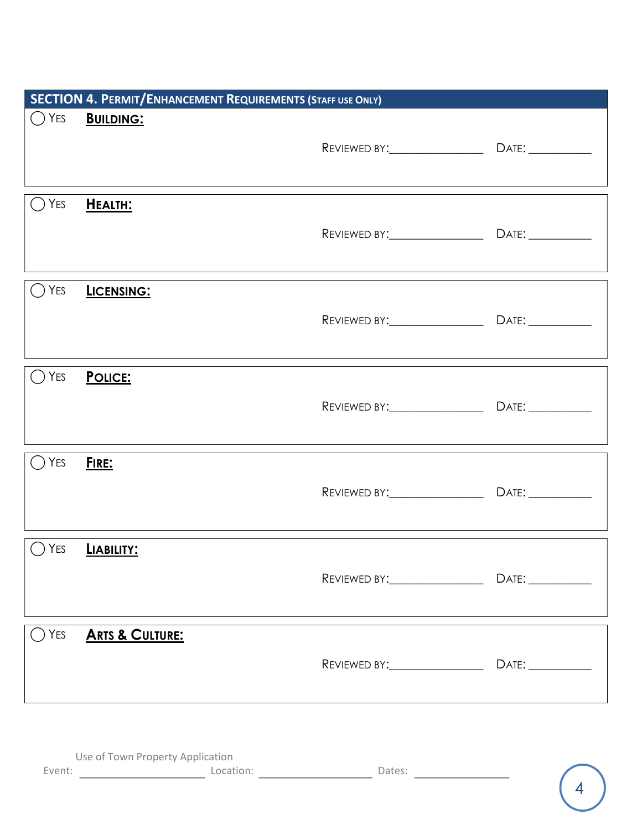|                | <b>SECTION 4. PERMIT/ENHANCEMENT REQUIREMENTS (STAFF USE ONLY)</b> |                                 |       |
|----------------|--------------------------------------------------------------------|---------------------------------|-------|
| $\bigcirc$ Yes | <b>BUILDING:</b>                                                   |                                 |       |
|                |                                                                    |                                 |       |
|                |                                                                    |                                 |       |
| YES            | HEALTH:                                                            |                                 |       |
|                |                                                                    |                                 |       |
|                |                                                                    |                                 |       |
| YES<br>( )     | LICENSING:                                                         |                                 |       |
|                |                                                                    |                                 |       |
|                |                                                                    |                                 |       |
| $\bigcirc$ Yes | POLICE:                                                            |                                 |       |
|                |                                                                    |                                 |       |
|                |                                                                    |                                 |       |
| YES            | FIRE:                                                              |                                 |       |
|                |                                                                    |                                 |       |
|                |                                                                    |                                 |       |
| YES<br>$($ )   | LIABILITY:                                                         |                                 |       |
|                |                                                                    |                                 |       |
|                |                                                                    | REVIEWED BY: __________________ | DATE: |
|                |                                                                    |                                 |       |
| YES            | <b>ARTS &amp; CULTURE:</b>                                         |                                 |       |
|                |                                                                    | REVIEWED BY: __________________ | DATE: |
|                |                                                                    |                                 |       |
|                |                                                                    |                                 |       |

|        | Use of Town Property Application |        |
|--------|----------------------------------|--------|
| Event: | Location:                        | Dates: |